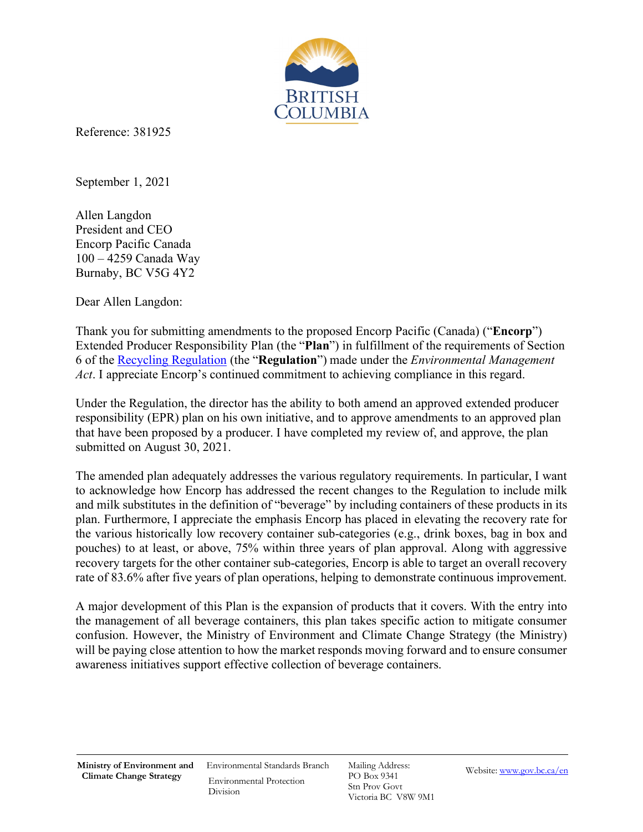

Reference: 381925

September 1, 2021

Allen Langdon President and CEO Encorp Pacific Canada 100 – 4259 Canada Way Burnaby, BC V5G 4Y2

Dear Allen Langdon:

Thank you for submitting amendments to the proposed Encorp Pacific (Canada) ("**Encorp**") Extended Producer Responsibility Plan (the "**Plan**") in fulfillment of the requirements of Section 6 of th[e Recycling Regulation](http://www.bclaws.ca/EPLibraries/bclaws_new/document/ID/freeside/449_2004) (the "**Regulation**") made under the *Environmental Management Act*. I appreciate Encorp's continued commitment to achieving compliance in this regard.

Under the Regulation, the director has the ability to both amend an approved extended producer responsibility (EPR) plan on his own initiative, and to approve amendments to an approved plan that have been proposed by a producer. I have completed my review of, and approve, the plan submitted on August 30, 2021.

The amended plan adequately addresses the various regulatory requirements. In particular, I want to acknowledge how Encorp has addressed the recent changes to the Regulation to include milk and milk substitutes in the definition of "beverage" by including containers of these products in its plan. Furthermore, I appreciate the emphasis Encorp has placed in elevating the recovery rate for the various historically low recovery container sub-categories (e.g., drink boxes, bag in box and pouches) to at least, or above, 75% within three years of plan approval. Along with aggressive recovery targets for the other container sub-categories, Encorp is able to target an overall recovery rate of 83.6% after five years of plan operations, helping to demonstrate continuous improvement.

A major development of this Plan is the expansion of products that it covers. With the entry into the management of all beverage containers, this plan takes specific action to mitigate consumer confusion. However, the Ministry of Environment and Climate Change Strategy (the Ministry) will be paying close attention to how the market responds moving forward and to ensure consumer awareness initiatives support effective collection of beverage containers.

Environmental Standards Branch Environmental Protection Division

Mailing Address: PO Box 9341 Stn Prov Govt Victoria BC V8W 9M1